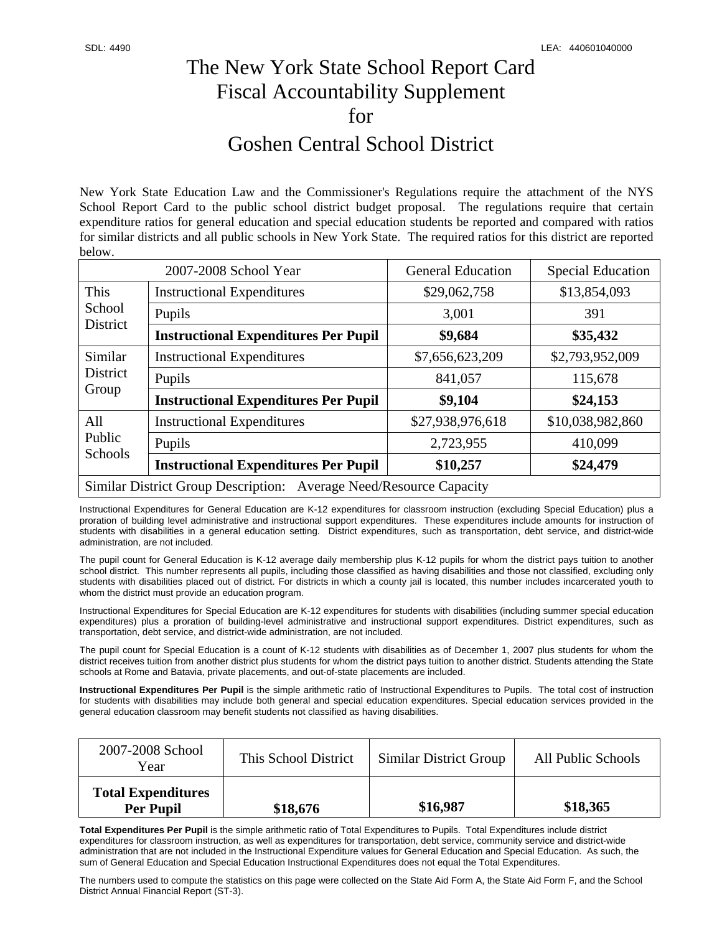## The New York State School Report Card Fiscal Accountability Supplement for Goshen Central School District

New York State Education Law and the Commissioner's Regulations require the attachment of the NYS School Report Card to the public school district budget proposal. The regulations require that certain expenditure ratios for general education and special education students be reported and compared with ratios for similar districts and all public schools in New York State. The required ratios for this district are reported below.

| 2007-2008 School Year                                              |                                             | <b>General Education</b> | <b>Special Education</b> |  |
|--------------------------------------------------------------------|---------------------------------------------|--------------------------|--------------------------|--|
| This<br>School<br>District                                         | <b>Instructional Expenditures</b>           | \$29,062,758             | \$13,854,093             |  |
|                                                                    | Pupils                                      | 3,001                    | 391                      |  |
|                                                                    | <b>Instructional Expenditures Per Pupil</b> | \$9,684                  | \$35,432                 |  |
| Similar<br>District<br>Group                                       | <b>Instructional Expenditures</b>           | \$7,656,623,209          | \$2,793,952,009          |  |
|                                                                    | Pupils                                      | 841,057                  | 115,678                  |  |
|                                                                    | <b>Instructional Expenditures Per Pupil</b> | \$9,104                  | \$24,153                 |  |
| All<br>Public<br>Schools                                           | <b>Instructional Expenditures</b>           | \$27,938,976,618         | \$10,038,982,860         |  |
|                                                                    | Pupils                                      | 2,723,955                | 410,099                  |  |
|                                                                    | <b>Instructional Expenditures Per Pupil</b> | \$10,257                 | \$24,479                 |  |
| Similar District Group Description: Average Need/Resource Capacity |                                             |                          |                          |  |

Instructional Expenditures for General Education are K-12 expenditures for classroom instruction (excluding Special Education) plus a proration of building level administrative and instructional support expenditures. These expenditures include amounts for instruction of students with disabilities in a general education setting. District expenditures, such as transportation, debt service, and district-wide administration, are not included.

The pupil count for General Education is K-12 average daily membership plus K-12 pupils for whom the district pays tuition to another school district. This number represents all pupils, including those classified as having disabilities and those not classified, excluding only students with disabilities placed out of district. For districts in which a county jail is located, this number includes incarcerated youth to whom the district must provide an education program.

Instructional Expenditures for Special Education are K-12 expenditures for students with disabilities (including summer special education expenditures) plus a proration of building-level administrative and instructional support expenditures. District expenditures, such as transportation, debt service, and district-wide administration, are not included.

The pupil count for Special Education is a count of K-12 students with disabilities as of December 1, 2007 plus students for whom the district receives tuition from another district plus students for whom the district pays tuition to another district. Students attending the State schools at Rome and Batavia, private placements, and out-of-state placements are included.

**Instructional Expenditures Per Pupil** is the simple arithmetic ratio of Instructional Expenditures to Pupils. The total cost of instruction for students with disabilities may include both general and special education expenditures. Special education services provided in the general education classroom may benefit students not classified as having disabilities.

| 2007-2008 School<br>Year                      | This School District | Similar District Group | All Public Schools |
|-----------------------------------------------|----------------------|------------------------|--------------------|
| <b>Total Expenditures</b><br><b>Per Pupil</b> | \$18,676             | \$16,987               | \$18,365           |

**Total Expenditures Per Pupil** is the simple arithmetic ratio of Total Expenditures to Pupils. Total Expenditures include district expenditures for classroom instruction, as well as expenditures for transportation, debt service, community service and district-wide administration that are not included in the Instructional Expenditure values for General Education and Special Education. As such, the sum of General Education and Special Education Instructional Expenditures does not equal the Total Expenditures.

The numbers used to compute the statistics on this page were collected on the State Aid Form A, the State Aid Form F, and the School District Annual Financial Report (ST-3).